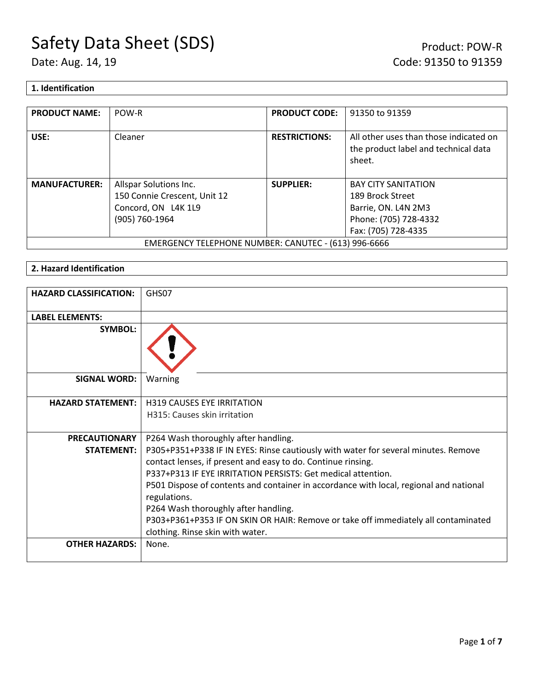## Safety Data Sheet (SDS)<br>
Date: Aug. 14, 19<br>
Date: Aug. 14, 19<br>
Code: 91350 to 91359

#### **1. Identification**

| <b>PRODUCT NAME:</b>                                 | POW-R                        | <b>PRODUCT CODE:</b> | 91350 to 91359                                                                           |
|------------------------------------------------------|------------------------------|----------------------|------------------------------------------------------------------------------------------|
| USE:                                                 | Cleaner                      | <b>RESTRICTIONS:</b> | All other uses than those indicated on<br>the product label and technical data<br>sheet. |
| <b>MANUFACTURER:</b>                                 | Allspar Solutions Inc.       | <b>SUPPLIER:</b>     | <b>BAY CITY SANITATION</b>                                                               |
|                                                      | 150 Connie Crescent, Unit 12 |                      | 189 Brock Street                                                                         |
|                                                      | Concord, ON L4K 1L9          |                      | Barrie, ON. L4N 2M3                                                                      |
|                                                      | (905) 760-1964               |                      | Phone: (705) 728-4332                                                                    |
|                                                      |                              |                      | Fax: (705) 728-4335                                                                      |
| EMERGENCY TELEPHONE NUMBER: CANUTEC - (613) 996-6666 |                              |                      |                                                                                          |

#### **2. Hazard Identification**

| <b>HAZARD CLASSIFICATION:</b> | GHS07                                                                                                                                              |
|-------------------------------|----------------------------------------------------------------------------------------------------------------------------------------------------|
| <b>LABEL ELEMENTS:</b>        |                                                                                                                                                    |
| <b>SYMBOL:</b>                |                                                                                                                                                    |
| <b>SIGNAL WORD:</b>           | Warning                                                                                                                                            |
| <b>HAZARD STATEMENT:</b>      | <b>H319 CAUSES EYE IRRITATION</b>                                                                                                                  |
|                               | H315: Causes skin irritation                                                                                                                       |
| <b>PRECAUTIONARY</b>          | P264 Wash thoroughly after handling.                                                                                                               |
| <b>STATEMENT:</b>             | P305+P351+P338 IF IN EYES: Rinse cautiously with water for several minutes. Remove<br>contact lenses, if present and easy to do. Continue rinsing. |
|                               | P337+P313 IF EYE IRRITATION PERSISTS: Get medical attention.                                                                                       |
|                               | P501 Dispose of contents and container in accordance with local, regional and national<br>regulations.                                             |
|                               | P264 Wash thoroughly after handling.                                                                                                               |
|                               | P303+P361+P353 IF ON SKIN OR HAIR: Remove or take off immediately all contaminated<br>clothing. Rinse skin with water.                             |
| <b>OTHER HAZARDS:</b>         | None.                                                                                                                                              |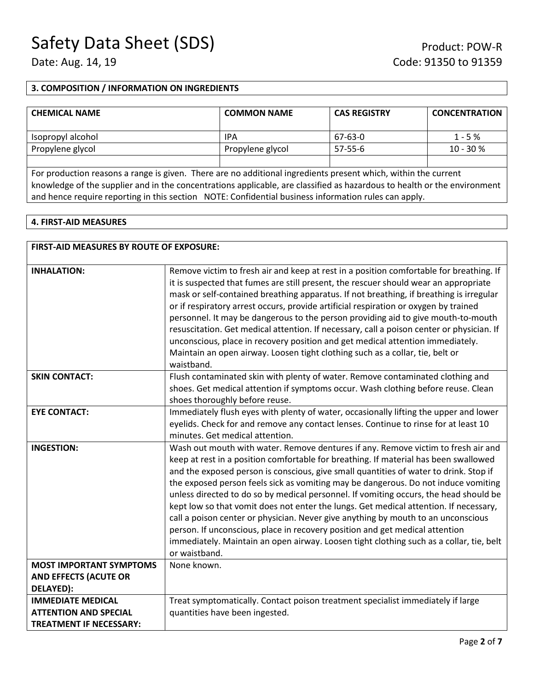#### **3. COMPOSITION / INFORMATION ON INGREDIENTS**

| <b>CHEMICAL NAME</b> | <b>COMMON NAME</b> | <b>CAS REGISTRY</b> | <b>CONCENTRATION</b> |
|----------------------|--------------------|---------------------|----------------------|
| Isopropyl alcohol    | IPA                | 67-63-0             | $1 - 5%$             |
| Propylene glycol     | Propylene glycol   | 57-55-6             | $10 - 30 \%$         |
|                      |                    |                     |                      |

For production reasons a range is given. There are no additional ingredients present which, within the current knowledge of the supplier and in the concentrations applicable, are classified as hazardous to health or the environment and hence require reporting in this section NOTE: Confidential business information rules can apply.

#### **4. FIRST-AID MEASURES**

| <b>FIRST-AID MEASURES BY ROUTE OF EXPOSURE:</b>                                            |                                                                                                                                                                                                                                                                                                                                                                                                                                                                                                                                                                                                                                                                                                                                                                                                                             |
|--------------------------------------------------------------------------------------------|-----------------------------------------------------------------------------------------------------------------------------------------------------------------------------------------------------------------------------------------------------------------------------------------------------------------------------------------------------------------------------------------------------------------------------------------------------------------------------------------------------------------------------------------------------------------------------------------------------------------------------------------------------------------------------------------------------------------------------------------------------------------------------------------------------------------------------|
| <b>INHALATION:</b>                                                                         | Remove victim to fresh air and keep at rest in a position comfortable for breathing. If<br>it is suspected that fumes are still present, the rescuer should wear an appropriate<br>mask or self-contained breathing apparatus. If not breathing, if breathing is irregular<br>or if respiratory arrest occurs, provide artificial respiration or oxygen by trained<br>personnel. It may be dangerous to the person providing aid to give mouth-to-mouth<br>resuscitation. Get medical attention. If necessary, call a poison center or physician. If<br>unconscious, place in recovery position and get medical attention immediately.<br>Maintain an open airway. Loosen tight clothing such as a collar, tie, belt or<br>waistband.                                                                                       |
| <b>SKIN CONTACT:</b>                                                                       | Flush contaminated skin with plenty of water. Remove contaminated clothing and<br>shoes. Get medical attention if symptoms occur. Wash clothing before reuse. Clean<br>shoes thoroughly before reuse.                                                                                                                                                                                                                                                                                                                                                                                                                                                                                                                                                                                                                       |
| <b>EYE CONTACT:</b>                                                                        | Immediately flush eyes with plenty of water, occasionally lifting the upper and lower<br>eyelids. Check for and remove any contact lenses. Continue to rinse for at least 10<br>minutes. Get medical attention.                                                                                                                                                                                                                                                                                                                                                                                                                                                                                                                                                                                                             |
| <b>INGESTION:</b>                                                                          | Wash out mouth with water. Remove dentures if any. Remove victim to fresh air and<br>keep at rest in a position comfortable for breathing. If material has been swallowed<br>and the exposed person is conscious, give small quantities of water to drink. Stop if<br>the exposed person feels sick as vomiting may be dangerous. Do not induce vomiting<br>unless directed to do so by medical personnel. If vomiting occurs, the head should be<br>kept low so that vomit does not enter the lungs. Get medical attention. If necessary,<br>call a poison center or physician. Never give anything by mouth to an unconscious<br>person. If unconscious, place in recovery position and get medical attention<br>immediately. Maintain an open airway. Loosen tight clothing such as a collar, tie, belt<br>or waistband. |
| <b>MOST IMPORTANT SYMPTOMS</b><br><b>AND EFFECTS (ACUTE OR</b><br>DELAYED):                | None known.                                                                                                                                                                                                                                                                                                                                                                                                                                                                                                                                                                                                                                                                                                                                                                                                                 |
| <b>IMMEDIATE MEDICAL</b><br><b>ATTENTION AND SPECIAL</b><br><b>TREATMENT IF NECESSARY:</b> | Treat symptomatically. Contact poison treatment specialist immediately if large<br>quantities have been ingested.                                                                                                                                                                                                                                                                                                                                                                                                                                                                                                                                                                                                                                                                                                           |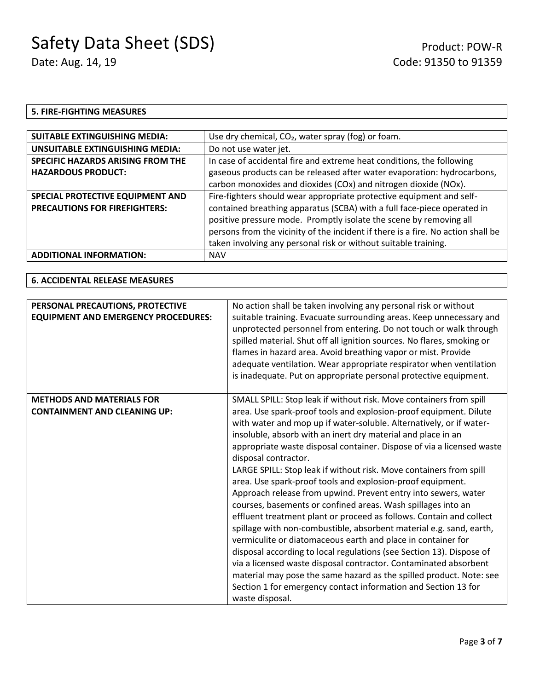#### **5. FIRE-FIGHTING MEASURES**

| Use dry chemical, $CO2$ , water spray (fog) or foam.                             |  |
|----------------------------------------------------------------------------------|--|
| Do not use water jet.                                                            |  |
| In case of accidental fire and extreme heat conditions, the following            |  |
| gaseous products can be released after water evaporation: hydrocarbons,          |  |
| carbon monoxides and dioxides (COx) and nitrogen dioxide (NOx).                  |  |
| Fire-fighters should wear appropriate protective equipment and self-             |  |
| contained breathing apparatus (SCBA) with a full face-piece operated in          |  |
| positive pressure mode. Promptly isolate the scene by removing all               |  |
| persons from the vicinity of the incident if there is a fire. No action shall be |  |
| taken involving any personal risk or without suitable training.                  |  |
|                                                                                  |  |
|                                                                                  |  |

#### **6. ACCIDENTAL RELEASE MEASURES**

| PERSONAL PRECAUTIONS, PROTECTIVE<br><b>EQUIPMENT AND EMERGENCY PROCEDURES:</b> | No action shall be taken involving any personal risk or without<br>suitable training. Evacuate surrounding areas. Keep unnecessary and<br>unprotected personnel from entering. Do not touch or walk through<br>spilled material. Shut off all ignition sources. No flares, smoking or<br>flames in hazard area. Avoid breathing vapor or mist. Provide<br>adequate ventilation. Wear appropriate respirator when ventilation<br>is inadequate. Put on appropriate personal protective equipment.                                                                                                                                                                                                                                                                                                                                                                                                                                                                                                                                                                                                                                                         |
|--------------------------------------------------------------------------------|----------------------------------------------------------------------------------------------------------------------------------------------------------------------------------------------------------------------------------------------------------------------------------------------------------------------------------------------------------------------------------------------------------------------------------------------------------------------------------------------------------------------------------------------------------------------------------------------------------------------------------------------------------------------------------------------------------------------------------------------------------------------------------------------------------------------------------------------------------------------------------------------------------------------------------------------------------------------------------------------------------------------------------------------------------------------------------------------------------------------------------------------------------|
| <b>METHODS AND MATERIALS FOR</b><br><b>CONTAINMENT AND CLEANING UP:</b>        | SMALL SPILL: Stop leak if without risk. Move containers from spill<br>area. Use spark-proof tools and explosion-proof equipment. Dilute<br>with water and mop up if water-soluble. Alternatively, or if water-<br>insoluble, absorb with an inert dry material and place in an<br>appropriate waste disposal container. Dispose of via a licensed waste<br>disposal contractor.<br>LARGE SPILL: Stop leak if without risk. Move containers from spill<br>area. Use spark-proof tools and explosion-proof equipment.<br>Approach release from upwind. Prevent entry into sewers, water<br>courses, basements or confined areas. Wash spillages into an<br>effluent treatment plant or proceed as follows. Contain and collect<br>spillage with non-combustible, absorbent material e.g. sand, earth,<br>vermiculite or diatomaceous earth and place in container for<br>disposal according to local regulations (see Section 13). Dispose of<br>via a licensed waste disposal contractor. Contaminated absorbent<br>material may pose the same hazard as the spilled product. Note: see<br>Section 1 for emergency contact information and Section 13 for |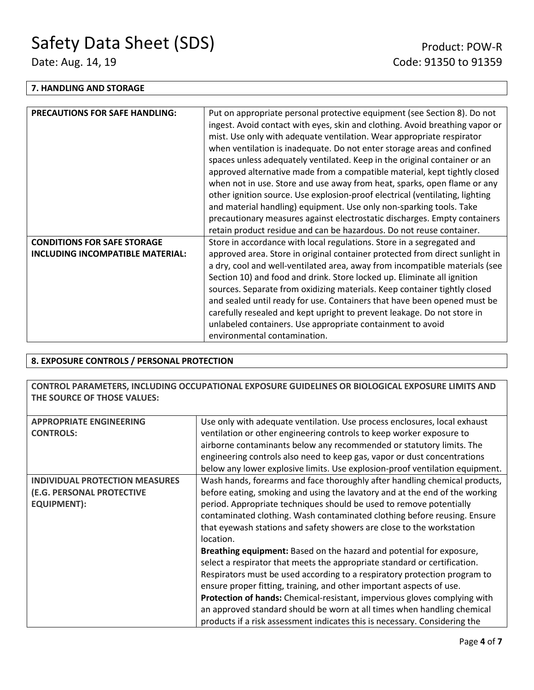#### **7. HANDLING AND STORAGE**

| <b>PRECAUTIONS FOR SAFE HANDLING:</b> | Put on appropriate personal protective equipment (see Section 8). Do not     |
|---------------------------------------|------------------------------------------------------------------------------|
|                                       | ingest. Avoid contact with eyes, skin and clothing. Avoid breathing vapor or |
|                                       | mist. Use only with adequate ventilation. Wear appropriate respirator        |
|                                       | when ventilation is inadequate. Do not enter storage areas and confined      |
|                                       | spaces unless adequately ventilated. Keep in the original container or an    |
|                                       | approved alternative made from a compatible material, kept tightly closed    |
|                                       | when not in use. Store and use away from heat, sparks, open flame or any     |
|                                       | other ignition source. Use explosion-proof electrical (ventilating, lighting |
|                                       | and material handling) equipment. Use only non-sparking tools. Take          |
|                                       | precautionary measures against electrostatic discharges. Empty containers    |
|                                       | retain product residue and can be hazardous. Do not reuse container.         |
| <b>CONDITIONS FOR SAFE STORAGE</b>    | Store in accordance with local regulations. Store in a segregated and        |
| INCLUDING INCOMPATIBLE MATERIAL:      | approved area. Store in original container protected from direct sunlight in |
|                                       | a dry, cool and well-ventilated area, away from incompatible materials (see  |
|                                       | Section 10) and food and drink. Store locked up. Eliminate all ignition      |
|                                       | sources. Separate from oxidizing materials. Keep container tightly closed    |
|                                       | and sealed until ready for use. Containers that have been opened must be     |
|                                       | carefully resealed and kept upright to prevent leakage. Do not store in      |
|                                       | unlabeled containers. Use appropriate containment to avoid                   |
|                                       | environmental contamination.                                                 |

#### **8. EXPOSURE CONTROLS / PERSONAL PROTECTION**

**CONTROL PARAMETERS, INCLUDING OCCUPATIONAL EXPOSURE GUIDELINES OR BIOLOGICAL EXPOSURE LIMITS AND THE SOURCE OF THOSE VALUES:**

| <b>APPROPRIATE ENGINEERING</b>        | Use only with adequate ventilation. Use process enclosures, local exhaust        |  |
|---------------------------------------|----------------------------------------------------------------------------------|--|
| <b>CONTROLS:</b>                      | ventilation or other engineering controls to keep worker exposure to             |  |
|                                       | airborne contaminants below any recommended or statutory limits. The             |  |
|                                       | engineering controls also need to keep gas, vapor or dust concentrations         |  |
|                                       | below any lower explosive limits. Use explosion-proof ventilation equipment.     |  |
| <b>INDIVIDUAL PROTECTION MEASURES</b> | Wash hands, forearms and face thoroughly after handling chemical products,       |  |
| (E.G. PERSONAL PROTECTIVE             | before eating, smoking and using the lavatory and at the end of the working      |  |
| <b>EQUIPMENT):</b>                    | period. Appropriate techniques should be used to remove potentially              |  |
|                                       | contaminated clothing. Wash contaminated clothing before reusing. Ensure         |  |
|                                       | that eyewash stations and safety showers are close to the workstation            |  |
|                                       | location.                                                                        |  |
|                                       | Breathing equipment: Based on the hazard and potential for exposure,             |  |
|                                       | select a respirator that meets the appropriate standard or certification.        |  |
|                                       | Respirators must be used according to a respiratory protection program to        |  |
|                                       | ensure proper fitting, training, and other important aspects of use.             |  |
|                                       | <b>Protection of hands:</b> Chemical-resistant, impervious gloves complying with |  |
|                                       | an approved standard should be worn at all times when handling chemical          |  |
|                                       | products if a risk assessment indicates this is necessary. Considering the       |  |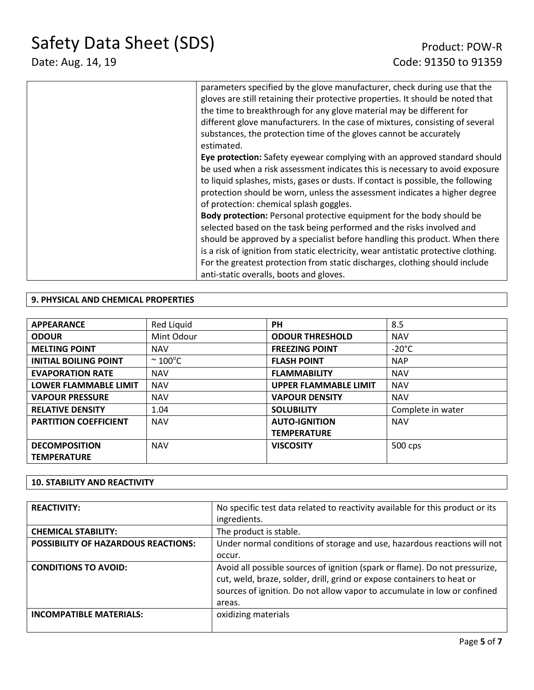Safety Data Sheet (SDS)<br>
Date: Aug. 14, 19<br>
Code: 91350 to 91359

### Code: 91350 to 91359

| parameters specified by the glove manufacturer, check during use that the<br>gloves are still retaining their protective properties. It should be noted that<br>the time to breakthrough for any glove material may be different for<br>different glove manufacturers. In the case of mixtures, consisting of several<br>substances, the protection time of the gloves cannot be accurately<br>estimated.                                      |
|------------------------------------------------------------------------------------------------------------------------------------------------------------------------------------------------------------------------------------------------------------------------------------------------------------------------------------------------------------------------------------------------------------------------------------------------|
| Eye protection: Safety eyewear complying with an approved standard should<br>be used when a risk assessment indicates this is necessary to avoid exposure<br>to liquid splashes, mists, gases or dusts. If contact is possible, the following<br>protection should be worn, unless the assessment indicates a higher degree<br>of protection: chemical splash goggles.                                                                         |
| Body protection: Personal protective equipment for the body should be<br>selected based on the task being performed and the risks involved and<br>should be approved by a specialist before handling this product. When there<br>is a risk of ignition from static electricity, wear antistatic protective clothing.<br>For the greatest protection from static discharges, clothing should include<br>anti-static overalls, boots and gloves. |

#### **9. PHYSICAL AND CHEMICAL PROPERTIES**

| <b>APPEARANCE</b>            | Red Liquid             | <b>PH</b>                    | 8.5               |
|------------------------------|------------------------|------------------------------|-------------------|
| <b>ODOUR</b>                 | Mint Odour             | <b>ODOUR THRESHOLD</b>       | <b>NAV</b>        |
| <b>MELTING POINT</b>         | <b>NAV</b>             | <b>FREEZING POINT</b>        | $-20^{\circ}$ C   |
| <b>INITIAL BOILING POINT</b> | $\sim$ 100 $\degree$ C | <b>FLASH POINT</b>           | <b>NAP</b>        |
| <b>EVAPORATION RATE</b>      | <b>NAV</b>             | <b>FLAMMABILITY</b>          | <b>NAV</b>        |
| <b>LOWER FLAMMABLE LIMIT</b> | <b>NAV</b>             | <b>UPPER FLAMMABLE LIMIT</b> | <b>NAV</b>        |
| <b>VAPOUR PRESSURE</b>       | <b>NAV</b>             | <b>VAPOUR DENSITY</b>        | <b>NAV</b>        |
| <b>RELATIVE DENSITY</b>      | 1.04                   | <b>SOLUBILITY</b>            | Complete in water |
| <b>PARTITION COEFFICIENT</b> | <b>NAV</b>             | <b>AUTO-IGNITION</b>         | <b>NAV</b>        |
|                              |                        | <b>TEMPERATURE</b>           |                   |
| <b>DECOMPOSITION</b>         | <b>NAV</b>             | <b>VISCOSITY</b>             | 500 cps           |
| <b>TEMPERATURE</b>           |                        |                              |                   |

#### **10. STABILITY AND REACTIVITY**

| <b>REACTIVITY:</b>                         | No specific test data related to reactivity available for this product or its<br>ingredients.                                                                                                                                               |
|--------------------------------------------|---------------------------------------------------------------------------------------------------------------------------------------------------------------------------------------------------------------------------------------------|
| <b>CHEMICAL STABILITY:</b>                 | The product is stable.                                                                                                                                                                                                                      |
| <b>POSSIBILITY OF HAZARDOUS REACTIONS:</b> | Under normal conditions of storage and use, hazardous reactions will not                                                                                                                                                                    |
|                                            | occur.                                                                                                                                                                                                                                      |
| <b>CONDITIONS TO AVOID:</b>                | Avoid all possible sources of ignition (spark or flame). Do not pressurize,<br>cut, weld, braze, solder, drill, grind or expose containers to heat or<br>sources of ignition. Do not allow vapor to accumulate in low or confined<br>areas. |
| <b>INCOMPATIBLE MATERIALS:</b>             | oxidizing materials                                                                                                                                                                                                                         |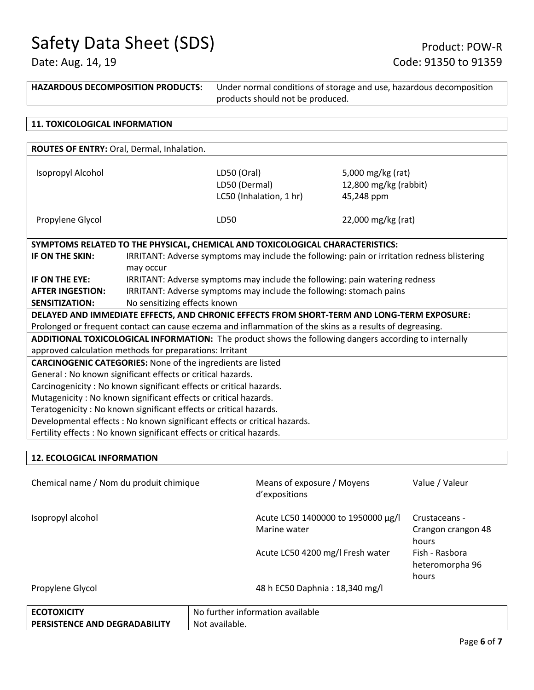# Safety Data Sheet (SDS)<br>
Date: Aug. 14, 19<br>
Code: 91350 to 91359

| <b>HAZARDOUS DECOMPOSITION PRODUCTS:</b>                                  |                                                                     | Under normal conditions of storage and use, hazardous decomposition                                      |                                                                                                       |
|---------------------------------------------------------------------------|---------------------------------------------------------------------|----------------------------------------------------------------------------------------------------------|-------------------------------------------------------------------------------------------------------|
|                                                                           | products should not be produced.                                    |                                                                                                          |                                                                                                       |
|                                                                           |                                                                     |                                                                                                          |                                                                                                       |
| <b>11. TOXICOLOGICAL INFORMATION</b>                                      |                                                                     |                                                                                                          |                                                                                                       |
|                                                                           |                                                                     |                                                                                                          |                                                                                                       |
| ROUTES OF ENTRY: Oral, Dermal, Inhalation.                                |                                                                     |                                                                                                          |                                                                                                       |
|                                                                           |                                                                     |                                                                                                          |                                                                                                       |
| Isopropyl Alcohol                                                         |                                                                     | LD50 (Oral)                                                                                              | 5,000 mg/kg (rat)                                                                                     |
|                                                                           |                                                                     | LD50 (Dermal)                                                                                            | 12,800 mg/kg (rabbit)                                                                                 |
|                                                                           |                                                                     | LC50 (Inhalation, 1 hr)                                                                                  | 45,248 ppm                                                                                            |
|                                                                           |                                                                     |                                                                                                          |                                                                                                       |
| Propylene Glycol                                                          |                                                                     | LD50                                                                                                     | 22,000 mg/kg (rat)                                                                                    |
|                                                                           |                                                                     |                                                                                                          |                                                                                                       |
|                                                                           |                                                                     | SYMPTOMS RELATED TO THE PHYSICAL, CHEMICAL AND TOXICOLOGICAL CHARACTERISTICS:                            |                                                                                                       |
| IF ON THE SKIN:                                                           |                                                                     |                                                                                                          | IRRITANT: Adverse symptoms may include the following: pain or irritation redness blistering           |
|                                                                           | may occur                                                           |                                                                                                          |                                                                                                       |
| IF ON THE EYE:                                                            |                                                                     | IRRITANT: Adverse symptoms may include the following: pain watering redness                              |                                                                                                       |
| <b>AFTER INGESTION:</b>                                                   | IRRITANT: Adverse symptoms may include the following: stomach pains |                                                                                                          |                                                                                                       |
| <b>SENSITIZATION:</b>                                                     | No sensitizing effects known                                        |                                                                                                          |                                                                                                       |
|                                                                           |                                                                     |                                                                                                          | DELAYED AND IMMEDIATE EFFECTS, AND CHRONIC EFFECTS FROM SHORT-TERM AND LONG-TERM EXPOSURE:            |
|                                                                           |                                                                     | Prolonged or frequent contact can cause eczema and inflammation of the skins as a results of degreasing. |                                                                                                       |
|                                                                           |                                                                     |                                                                                                          | ADDITIONAL TOXICOLOGICAL INFORMATION: The product shows the following dangers according to internally |
| approved calculation methods for preparations: Irritant                   |                                                                     |                                                                                                          |                                                                                                       |
| <b>CARCINOGENIC CATEGORIES:</b> None of the ingredients are listed        |                                                                     |                                                                                                          |                                                                                                       |
| General : No known significant effects or critical hazards.               |                                                                     |                                                                                                          |                                                                                                       |
| Carcinogenicity: No known significant effects or critical hazards.        |                                                                     |                                                                                                          |                                                                                                       |
| Mutagenicity: No known significant effects or critical hazards.           |                                                                     |                                                                                                          |                                                                                                       |
| Teratogenicity : No known significant effects or critical hazards.        |                                                                     |                                                                                                          |                                                                                                       |
| Developmental effects : No known significant effects or critical hazards. |                                                                     |                                                                                                          |                                                                                                       |
| Fertility effects : No known significant effects or critical hazards.     |                                                                     |                                                                                                          |                                                                                                       |
|                                                                           |                                                                     |                                                                                                          |                                                                                                       |
| <b>12. ECOLOGICAL INFORMATION</b>                                         |                                                                     |                                                                                                          |                                                                                                       |

| Chemical name / Nom du produit chimique | Means of exposure / Moyens<br>d'expositions        | Value / Valeur                               |
|-----------------------------------------|----------------------------------------------------|----------------------------------------------|
| Isopropyl alcohol                       | Acute LC50 1400000 to 1950000 μg/l<br>Marine water | Crustaceans -<br>Crangon crangon 48<br>hours |
|                                         | Acute LC50 4200 mg/l Fresh water                   | Fish - Rasbora<br>heteromorpha 96<br>hours   |
| Propylene Glycol                        | 48 h EC50 Daphnia: 18,340 mg/l                     |                                              |

| <b>ECOTOXICITY</b>                   | No further information available |
|--------------------------------------|----------------------------------|
| <b>PERSISTENCE AND DEGRADABILITY</b> | Not available.                   |